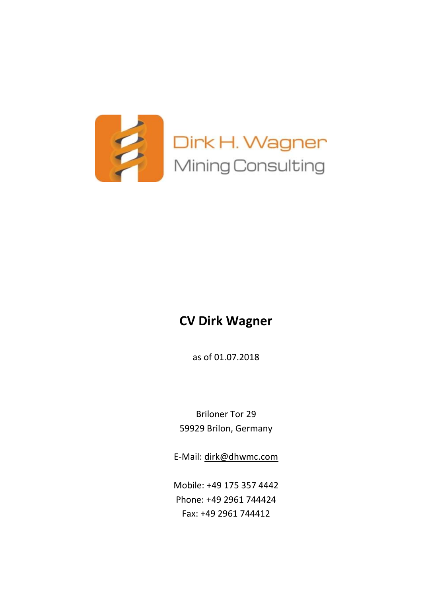

# **CV Dirk Wagner**

as of 01.07.2018

Briloner Tor 29 59929 Brilon, Germany

E-Mail: [dirk@dhwmc.com](mailto:dirk@dhwmc.com)

Mobile: +49 175 357 4442 Phone: +49 2961 744424 Fax: +49 2961 744412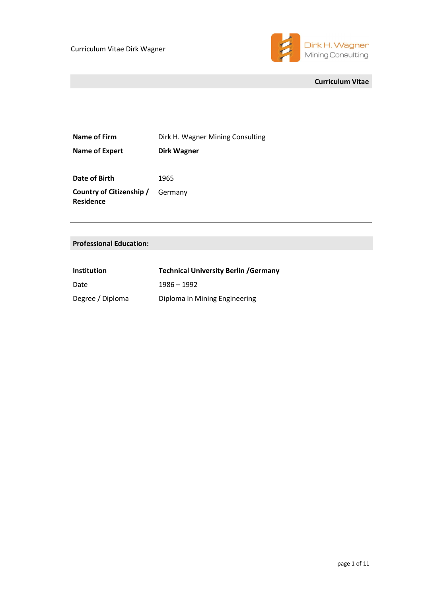

## **Curriculum Vitae**

| Name of Firm                   | Dirk H. Wagner Mining Consulting             |
|--------------------------------|----------------------------------------------|
| <b>Name of Expert</b>          | <b>Dirk Wagner</b>                           |
|                                |                                              |
| Date of Birth                  | 1965                                         |
| Country of Citizenship /       | Germany                                      |
| <b>Residence</b>               |                                              |
|                                |                                              |
|                                |                                              |
| <b>Professional Education:</b> |                                              |
|                                |                                              |
| <b>Institution</b>             | <b>Technical University Berlin / Germany</b> |
| Date                           | 1986 - 1992                                  |
| Degree / Diploma               | Diploma in Mining Engineering                |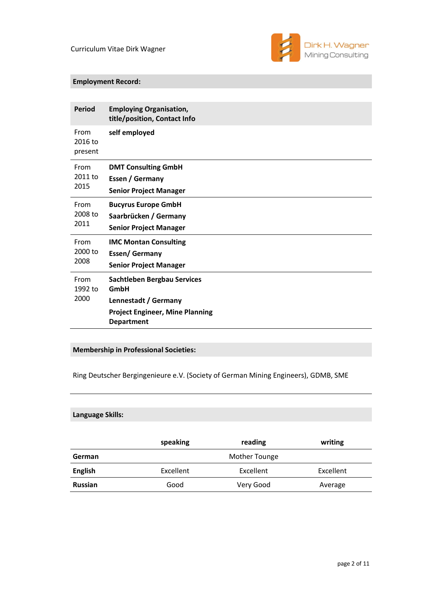

## **Employment Record:**

| <b>Period</b>              | <b>Employing Organisation,</b><br>title/position, Contact Info                                                                    |
|----------------------------|-----------------------------------------------------------------------------------------------------------------------------------|
| From<br>2016 to<br>present | self employed                                                                                                                     |
| From                       | <b>DMT Consulting GmbH</b>                                                                                                        |
| 2011 to                    | Essen / Germany                                                                                                                   |
| 2015                       | <b>Senior Project Manager</b>                                                                                                     |
| From                       | <b>Bucyrus Europe GmbH</b>                                                                                                        |
| 2008 to                    | Saarbrücken / Germany                                                                                                             |
| 2011                       | <b>Senior Project Manager</b>                                                                                                     |
| From                       | <b>IMC Montan Consulting</b>                                                                                                      |
| 2000 to                    | <b>Essen/Germany</b>                                                                                                              |
| 2008                       | <b>Senior Project Manager</b>                                                                                                     |
| From<br>1992 to<br>2000    | <b>Sachtleben Bergbau Services</b><br>GmbH<br>Lennestadt / Germany<br><b>Project Engineer, Mine Planning</b><br><b>Department</b> |

# **Membership in Professional Societies:**

Ring Deutscher Bergingenieure e.V. (Society of German Mining Engineers), GDMB, SME

## **Language Skills:**

|                | speaking  | reading              | writing   |
|----------------|-----------|----------------------|-----------|
| German         |           | <b>Mother Tounge</b> |           |
| <b>English</b> | Excellent | Excellent            | Excellent |
| <b>Russian</b> | Good      | Very Good            | Average   |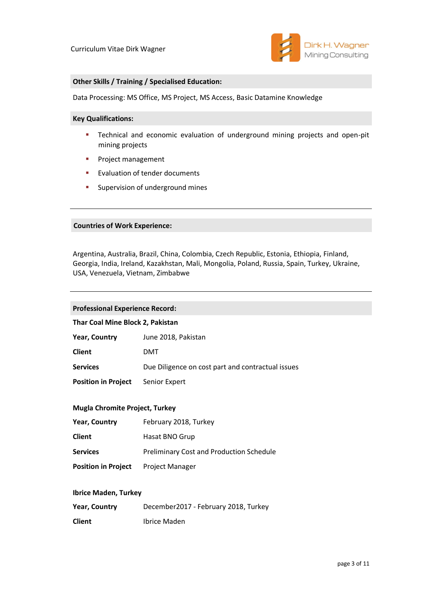

### **Other Skills / Training / Specialised Education:**

Data Processing: MS Office, MS Project, MS Access, Basic Datamine Knowledge

#### **Key Qualifications:**

- **EXT** Technical and economic evaluation of underground mining projects and open-pit mining projects
- **•** Project management
- Evaluation of tender documents
- **E** Supervision of underground mines

#### **Countries of Work Experience:**

Argentina, Australia, Brazil, China, Colombia, Czech Republic, Estonia, Ethiopia, Finland, Georgia, India, Ireland, Kazakhstan, Mali, Mongolia, Poland, Russia, Spain, Turkey, Ukraine, USA, Venezuela, Vietnam, Zimbabwe

#### **Professional Experience Record:**

#### **Thar Coal Mine Block 2, Pakistan**

| <b>Year, Country</b>       | June 2018, Pakistan                               |
|----------------------------|---------------------------------------------------|
| <b>Client</b>              | DMT                                               |
| <b>Services</b>            | Due Diligence on cost part and contractual issues |
| <b>Position in Project</b> | Senior Expert                                     |

#### **Mugla Chromite Project, Turkey**

| <b>Year, Country</b>                       | February 2018, Turkey                           |
|--------------------------------------------|-------------------------------------------------|
| <b>Client</b>                              | Hasat BNO Grup                                  |
| <b>Services</b>                            | <b>Preliminary Cost and Production Schedule</b> |
| <b>Position in Project</b> Project Manager |                                                 |

#### **Ibrice Maden, Turkey**

| <b>Year, Country</b> | December2017 - February 2018, Turkey |
|----------------------|--------------------------------------|
| <b>Client</b>        | Ibrice Maden                         |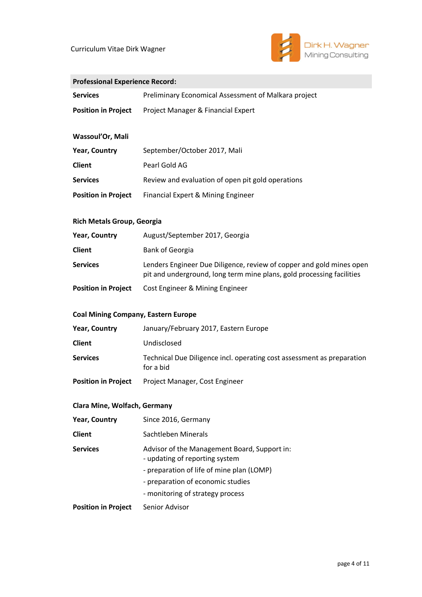

## **Professional Experience Record:**

| <b>Services</b>            | <b>Preliminary Economical Assessment of Malkara project</b> |
|----------------------------|-------------------------------------------------------------|
| <b>Position in Project</b> | Project Manager & Financial Expert                          |
| Wassoul'Or, Mali           |                                                             |
| <b>Year, Country</b>       | September/October 2017, Mali                                |
| <b>Client</b>              | Pearl Gold AG                                               |
| <b>Services</b>            | Review and evaluation of open pit gold operations           |
| <b>Position in Project</b> | Financial Expert & Mining Engineer                          |

## **Rich Metals Group, Georgia**

| <b>Year, Country</b>       | August/September 2017, Georgia                                                                                                                |
|----------------------------|-----------------------------------------------------------------------------------------------------------------------------------------------|
| <b>Client</b>              | Bank of Georgia                                                                                                                               |
| <b>Services</b>            | Lenders Engineer Due Diligence, review of copper and gold mines open<br>pit and underground, long term mine plans, gold processing facilities |
| <b>Position in Project</b> | Cost Engineer & Mining Engineer                                                                                                               |

### **Coal Mining Company, Eastern Europe**

| <b>Year, Country</b>       | January/February 2017, Eastern Europe                                               |
|----------------------------|-------------------------------------------------------------------------------------|
| <b>Client</b>              | Undisclosed                                                                         |
| <b>Services</b>            | Technical Due Diligence incl. operating cost assessment as preparation<br>for a bid |
| <b>Position in Project</b> | Project Manager, Cost Engineer                                                      |

## **Clara Mine, Wolfach, Germany**

| <b>Year, Country</b>       | Since 2016, Germany                                                            |
|----------------------------|--------------------------------------------------------------------------------|
| <b>Client</b>              | Sachtleben Minerals                                                            |
| <b>Services</b>            | Advisor of the Management Board, Support in:<br>- updating of reporting system |
|                            | - preparation of life of mine plan (LOMP)                                      |
|                            | - preparation of economic studies                                              |
|                            | - monitoring of strategy process                                               |
| <b>Position in Project</b> | Senior Advisor                                                                 |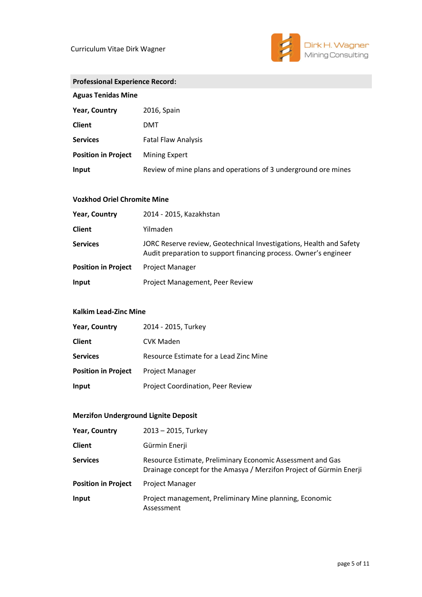

| <b>Professional Experience Record:</b> |                                                                |  |
|----------------------------------------|----------------------------------------------------------------|--|
| <b>Aguas Tenidas Mine</b>              |                                                                |  |
| <b>Year, Country</b>                   | 2016, Spain                                                    |  |
| <b>Client</b>                          | DMT                                                            |  |
| <b>Services</b>                        | <b>Fatal Flaw Analysis</b>                                     |  |
| <b>Position in Project</b>             | Mining Expert                                                  |  |
| Input                                  | Review of mine plans and operations of 3 underground ore mines |  |

## **Vozkhod Oriel Chromite Mine**

| <b>Year, Country</b>       | 2014 - 2015, Kazakhstan                                                                                                                 |
|----------------------------|-----------------------------------------------------------------------------------------------------------------------------------------|
| <b>Client</b>              | Yilmaden                                                                                                                                |
| <b>Services</b>            | JORC Reserve review, Geotechnical Investigations, Health and Safety<br>Audit preparation to support financing process. Owner's engineer |
| <b>Position in Project</b> | <b>Project Manager</b>                                                                                                                  |
| Input                      | Project Management, Peer Review                                                                                                         |

### **Kalkim Lead-Zinc Mine**

| <b>Year, Country</b>       | 2014 - 2015, Turkey                    |
|----------------------------|----------------------------------------|
| <b>Client</b>              | <b>CVK Maden</b>                       |
| <b>Services</b>            | Resource Estimate for a Lead Zinc Mine |
| <b>Position in Project</b> | <b>Project Manager</b>                 |
| Input                      | Project Coordination, Peer Review      |

# **Merzifon Underground Lignite Deposit**

| <b>Year, Country</b>       | $2013 - 2015$ , Turkey                                                                                                            |
|----------------------------|-----------------------------------------------------------------------------------------------------------------------------------|
| <b>Client</b>              | Gürmin Enerji                                                                                                                     |
| <b>Services</b>            | Resource Estimate, Preliminary Economic Assessment and Gas<br>Drainage concept for the Amasya / Merzifon Project of Gürmin Enerji |
| <b>Position in Project</b> | <b>Project Manager</b>                                                                                                            |
| Input                      | Project management, Preliminary Mine planning, Economic<br>Assessment                                                             |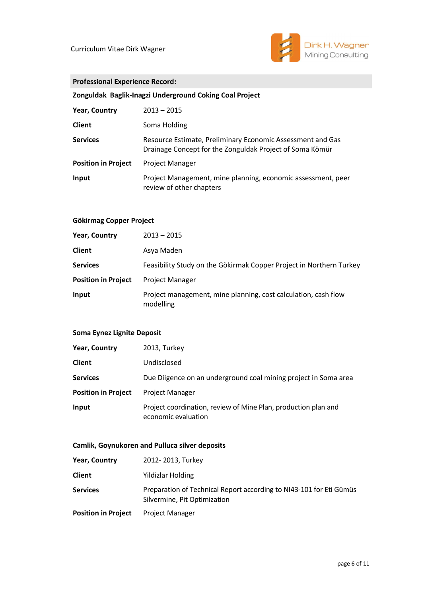

## **Professional Experience Record:**

**Zonguldak Baglik-Inagzi Underground Coking Coal Project**

| <b>Year, Country</b>       | $2013 - 2015$                                                                                                          |
|----------------------------|------------------------------------------------------------------------------------------------------------------------|
| <b>Client</b>              | Soma Holding                                                                                                           |
| <b>Services</b>            | Resource Estimate, Preliminary Economic Assessment and Gas<br>Drainage Concept for the Zonguldak Project of Soma Kömür |
| <b>Position in Project</b> | <b>Project Manager</b>                                                                                                 |
| Input                      | Project Management, mine planning, economic assessment, peer<br>review of other chapters                               |

### **Gökirmag Copper Project**

| <b>Year, Country</b>       | $2013 - 2015$                                                               |
|----------------------------|-----------------------------------------------------------------------------|
| <b>Client</b>              | Asya Maden                                                                  |
| <b>Services</b>            | Feasibility Study on the Gökirmak Copper Project in Northern Turkey         |
| <b>Position in Project</b> | <b>Project Manager</b>                                                      |
| Input                      | Project management, mine planning, cost calculation, cash flow<br>modelling |

## **Soma Eynez Lignite Deposit**

| <b>Year, Country</b>       | 2013, Turkey                                                                          |
|----------------------------|---------------------------------------------------------------------------------------|
| <b>Client</b>              | Undisclosed                                                                           |
| <b>Services</b>            | Due Diigence on an underground coal mining project in Soma area                       |
| <b>Position in Project</b> | <b>Project Manager</b>                                                                |
| Input                      | Project coordination, review of Mine Plan, production plan and<br>economic evaluation |

#### **Camlik, Goynukoren and Pulluca silver deposits**

| <b>Year, Country</b>       | 2012-2013, Turkey                                                                                   |
|----------------------------|-----------------------------------------------------------------------------------------------------|
| <b>Client</b>              | Yildizlar Holding                                                                                   |
| <b>Services</b>            | Preparation of Technical Report according to NI43-101 for Eti Gümüs<br>Silvermine, Pit Optimization |
| <b>Position in Project</b> | <b>Project Manager</b>                                                                              |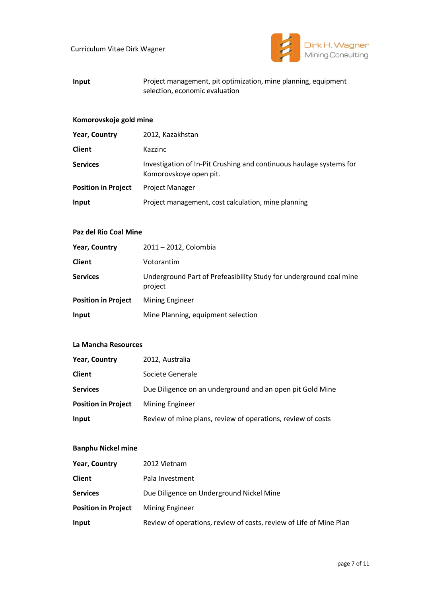

## **Input** Project management, pit optimization, mine planning, equipment selection, economic evaluation

#### **Komorovskoje gold mine**

| <b>Year, Country</b>       | 2012, Kazakhstan                                                                              |
|----------------------------|-----------------------------------------------------------------------------------------------|
| <b>Client</b>              | Kazzinc                                                                                       |
| <b>Services</b>            | Investigation of In-Pit Crushing and continuous haulage systems for<br>Komorovskoye open pit. |
| <b>Position in Project</b> | <b>Project Manager</b>                                                                        |
| Input                      | Project management, cost calculation, mine planning                                           |

## **Paz del Rio Coal Mine**

| <b>Year, Country</b>       | 2011 - 2012, Colombia                                                         |
|----------------------------|-------------------------------------------------------------------------------|
| <b>Client</b>              | Votorantim                                                                    |
| <b>Services</b>            | Underground Part of Prefeasibility Study for underground coal mine<br>project |
| <b>Position in Project</b> | <b>Mining Engineer</b>                                                        |
| Input                      | Mine Planning, equipment selection                                            |

### **La Mancha Resources**

| <b>Year, Country</b>       | 2012, Australia                                             |
|----------------------------|-------------------------------------------------------------|
| <b>Client</b>              | Societe Generale                                            |
| <b>Services</b>            | Due Diligence on an underground and an open pit Gold Mine   |
| <b>Position in Project</b> | <b>Mining Engineer</b>                                      |
| Input                      | Review of mine plans, review of operations, review of costs |

## **Banphu Nickel mine**

| <b>Year, Country</b>       | 2012 Vietnam                                                       |
|----------------------------|--------------------------------------------------------------------|
| <b>Client</b>              | Pala Investment                                                    |
| <b>Services</b>            | Due Diligence on Underground Nickel Mine                           |
| <b>Position in Project</b> | <b>Mining Engineer</b>                                             |
| Input                      | Review of operations, review of costs, review of Life of Mine Plan |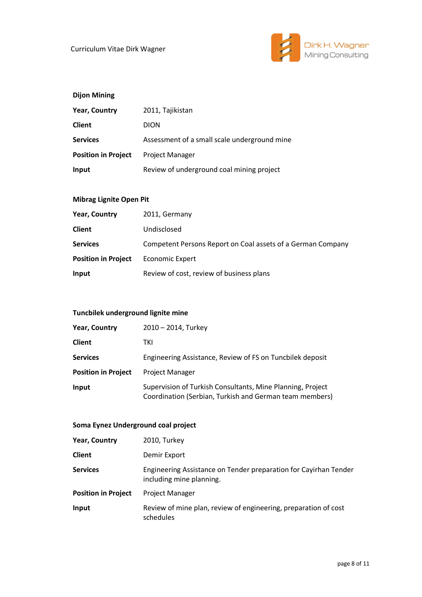

# **Dijon Mining**

| <b>Year, Country</b>       | 2011, Tajikistan                             |
|----------------------------|----------------------------------------------|
| <b>Client</b>              | <b>DION</b>                                  |
| <b>Services</b>            | Assessment of a small scale underground mine |
| <b>Position in Project</b> | <b>Project Manager</b>                       |
| Input                      | Review of underground coal mining project    |

## **Mibrag Lignite Open Pit**

| <b>Year, Country</b>       | 2011, Germany                                               |
|----------------------------|-------------------------------------------------------------|
| <b>Client</b>              | Undisclosed                                                 |
| <b>Services</b>            | Competent Persons Report on Coal assets of a German Company |
| <b>Position in Project</b> | <b>Economic Expert</b>                                      |
| Input                      | Review of cost, review of business plans                    |

## **Tuncbilek underground lignite mine**

| <b>Year, Country</b>       | 2010 - 2014, Turkey                                                                                                   |
|----------------------------|-----------------------------------------------------------------------------------------------------------------------|
| <b>Client</b>              | TKI                                                                                                                   |
| <b>Services</b>            | Engineering Assistance, Review of FS on Tuncbilek deposit                                                             |
| <b>Position in Project</b> | <b>Project Manager</b>                                                                                                |
| Input                      | Supervision of Turkish Consultants, Mine Planning, Project<br>Coordination (Serbian, Turkish and German team members) |

# **Soma Eynez Underground coal project**

| <b>Year, Country</b>       | 2010, Turkey                                                                                 |
|----------------------------|----------------------------------------------------------------------------------------------|
| <b>Client</b>              | Demir Export                                                                                 |
| <b>Services</b>            | Engineering Assistance on Tender preparation for Cayirhan Tender<br>including mine planning. |
| <b>Position in Project</b> | <b>Project Manager</b>                                                                       |
| Input                      | Review of mine plan, review of engineering, preparation of cost<br>schedules                 |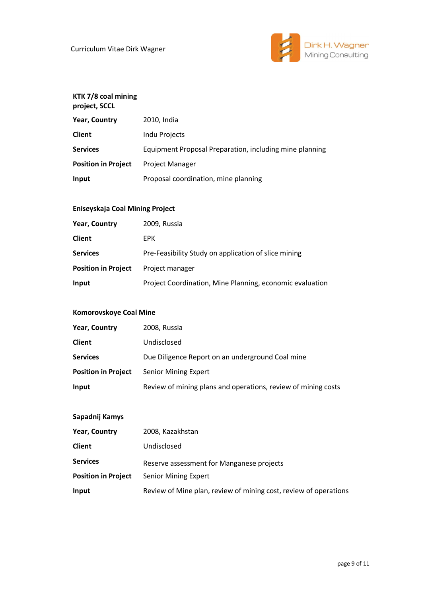

#### **KTK 7/8 coal mining project, SCCL**

| r. - , - - ., <i>- - -</i> - |                                                         |
|------------------------------|---------------------------------------------------------|
| <b>Year, Country</b>         | 2010, India                                             |
| <b>Client</b>                | Indu Projects                                           |
| <b>Services</b>              | Equipment Proposal Preparation, including mine planning |
| <b>Position in Project</b>   | <b>Project Manager</b>                                  |
| Input                        | Proposal coordination, mine planning                    |

# **Eniseyskaja Coal Mining Project**

| <b>Year, Country</b>       | 2009, Russia                                             |
|----------------------------|----------------------------------------------------------|
| <b>Client</b>              | <b>EPK</b>                                               |
| <b>Services</b>            | Pre-Feasibility Study on application of slice mining     |
| <b>Position in Project</b> | Project manager                                          |
| Input                      | Project Coordination, Mine Planning, economic evaluation |

## **Komorovskoye Coal Mine**

| <b>Year, Country</b>       | 2008, Russia                                                  |
|----------------------------|---------------------------------------------------------------|
| <b>Client</b>              | Undisclosed                                                   |
| <b>Services</b>            | Due Diligence Report on an underground Coal mine              |
| <b>Position in Project</b> | <b>Senior Mining Expert</b>                                   |
| Input                      | Review of mining plans and operations, review of mining costs |

## **Sapadnij Kamys**

| <b>Year, Country</b>       | 2008, Kazakhstan                                                 |
|----------------------------|------------------------------------------------------------------|
| <b>Client</b>              | Undisclosed                                                      |
| <b>Services</b>            | Reserve assessment for Manganese projects                        |
| <b>Position in Project</b> | Senior Mining Expert                                             |
| Input                      | Review of Mine plan, review of mining cost, review of operations |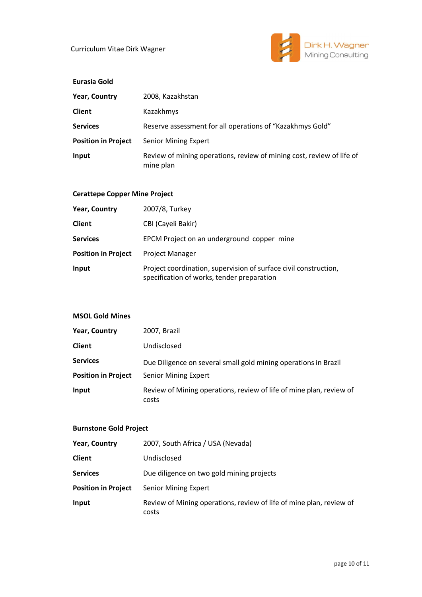

| Eurasia Gold               |                                                                                    |
|----------------------------|------------------------------------------------------------------------------------|
| <b>Year, Country</b>       | 2008, Kazakhstan                                                                   |
| <b>Client</b>              | Kazakhmys                                                                          |
| <b>Services</b>            | Reserve assessment for all operations of "Kazakhmys Gold"                          |
| <b>Position in Project</b> | <b>Senior Mining Expert</b>                                                        |
| Input                      | Review of mining operations, review of mining cost, review of life of<br>mine plan |

# **Cerattepe Copper Mine Project**

| <b>Year, Country</b>       | 2007/8, Turkey                                                                                                 |
|----------------------------|----------------------------------------------------------------------------------------------------------------|
| <b>Client</b>              | CBI (Cayeli Bakir)                                                                                             |
| <b>Services</b>            | EPCM Project on an underground copper mine                                                                     |
| <b>Position in Project</b> | <b>Project Manager</b>                                                                                         |
| Input                      | Project coordination, supervision of surface civil construction,<br>specification of works, tender preparation |

# **MSOL Gold Mines**

| <b>Year, Country</b>       | 2007, Brazil                                                                 |
|----------------------------|------------------------------------------------------------------------------|
| <b>Client</b>              | Undisclosed                                                                  |
| <b>Services</b>            | Due Diligence on several small gold mining operations in Brazil              |
| <b>Position in Project</b> | <b>Senior Mining Expert</b>                                                  |
| Input                      | Review of Mining operations, review of life of mine plan, review of<br>costs |

# **Burnstone Gold Project**

| <b>Year, Country</b>       | 2007, South Africa / USA (Nevada)                                            |
|----------------------------|------------------------------------------------------------------------------|
| <b>Client</b>              | Undisclosed                                                                  |
| <b>Services</b>            | Due diligence on two gold mining projects                                    |
| <b>Position in Project</b> | <b>Senior Mining Expert</b>                                                  |
| Input                      | Review of Mining operations, review of life of mine plan, review of<br>costs |